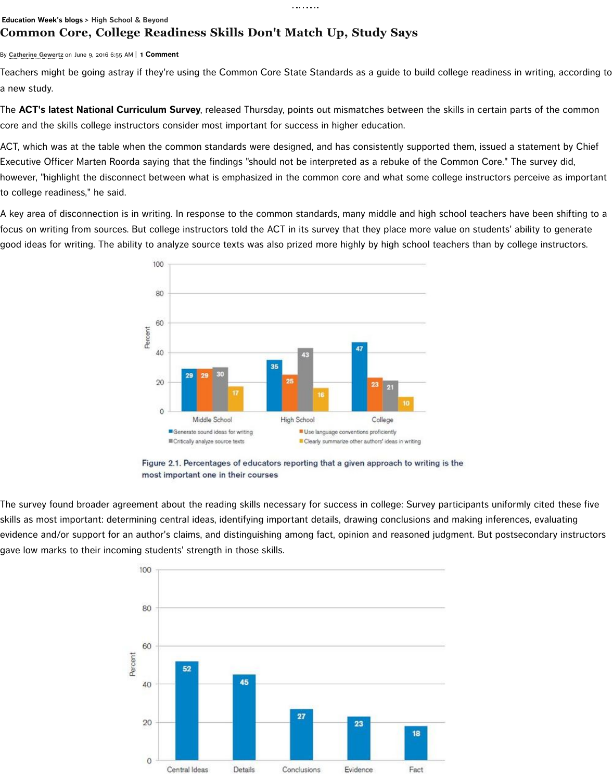

Figure 2.1. Percentages of educators reporting that a given ap most important one in their courses

The survey found broader agreement about the reading skills necessary for success in c skills as most important: determining central ideas, identifying important details, drawing [evidence and/or support for an author](http://blogs.edweek.org/edweek/high_school_and_beyond/ACTCurricSurveyWriting.JPG)'s claims, and distinguishing among fact, opinion a gave low marks to their incoming students' strength in those skills.